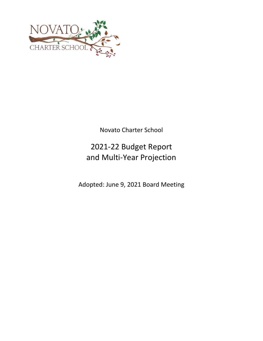

Novato Charter School

# 2021‐22 Budget Report and Multi‐Year Projection

Adopted: June 9, 2021 Board Meeting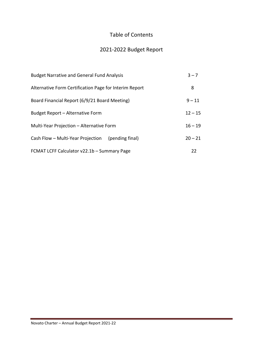# Table of Contents

# 2021‐2022 Budget Report

| <b>Budget Narrative and General Fund Analysis</b>      | $3 - 7$   |
|--------------------------------------------------------|-----------|
| Alternative Form Certification Page for Interim Report | 8         |
| Board Financial Report (6/9/21 Board Meeting)          | $9 - 11$  |
| Budget Report - Alternative Form                       | $12 - 15$ |
| Multi-Year Projection - Alternative Form               | $16 - 19$ |
| Cash Flow - Multi-Year Projection<br>(pending final)   | $20 - 21$ |
| FCMAT LCFF Calculator v22.1b - Summary Page            | 22        |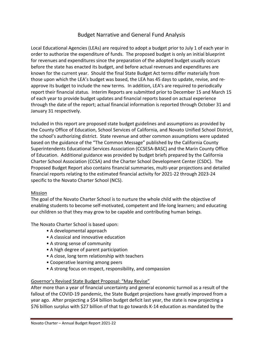# Budget Narrative and General Fund Analysis

Local Educational Agencies (LEAs) are required to adopt a budget prior to July 1 of each year in order to authorize the expenditure of funds. The proposed budget is only an initial blueprint for revenues and expenditures since the preparation of the adopted budget usually occurs before the state has enacted its budget, and before actual revenues and expenditures are known for the current year. Should the final State Budget Act terms differ materially from those upon which the LEA's budget was based, the LEA has 45 days to update, revise, and re‐ approve its budget to include the new terms. In addition, LEA's are required to periodically report their financial status. Interim Reports are submitted prior to December 15 and March 15 of each year to provide budget updates and financial reports based on actual experience through the date of the report; actual financial information is reported through October 31 and January 31 respectively.

Included in this report are proposed state budget guidelines and assumptions as provided by the County Office of Education, School Services of California, and Novato Unified School District, the school's authorizing district. State revenue and other common assumptions were updated based on the guidance of the "The Common Message" published by the California County Superintendents Educational Services Association (CCSESA‐BASC) and the Marin County Office of Education. Additional guidance was provided by budget briefs prepared by the California Charter School Association (CCSA) and the Charter School Development Center (CSDC). The Proposed Budget Report also contains financial summaries, multi‐year projections and detailed financial reports relating to the estimated financial activity for 2021‐22 through 2023‐24 specific to the Novato Charter School (NCS).

# Mission

The goal of the Novato Charter School is to nurture the whole child with the objective of enabling students to become self‐motivated, competent and life‐long learners; and educating our children so that they may grow to be capable and contributing human beings.

The Novato Charter School is based upon:

- A developmental approach
- A classical and innovative education
- A strong sense of community
- A high degree of parent participation
- A close, long term relationship with teachers
- Cooperative learning among peers
- A strong focus on respect, responsibility, and compassion

# Governor's Revised State Budget Proposal: "May Revise"

After more than a year of financial uncertainty and general economic turmoil as a result of the fallout of the COVID‐19 pandemic, the State Budget projections have greatly improved from a year ago. After projecting a \$54 billion budget deficit last year, the state is now projecting a \$76 billion surplus with \$27 billion of that to go towards K‐14 education as mandated by the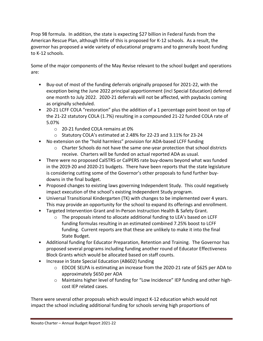Prop 98 formula. In addition, the state is expecting \$27 billion in Federal funds from the American Rescue Plan, although little of this is proposed for K‐12 schools. As a result, the governor has proposed a wide variety of educational programs and to generally boost funding to K‐12 schools.

Some of the major components of the May Revise relevant to the school budget and operations are:

- Buy‐out of most of the funding deferrals originally proposed for 2021‐22, with the exception being the June 2022 principal apportionment (incl Special Education) deferred one month to July 2022. 2020‐21 deferrals will not be affected, with paybacks coming as originally scheduled.
- 20-21 LCFF COLA "restoration" plus the addition of a 1 percentage point boost on top of the 21‐22 statutory COLA (1.7%) resulting in a compounded 21‐22 funded COLA rate of 5.07%
	- o 20‐21 funded COLA remains at 0%
	- o Statutory COLA's estimated at 2.48% for 22‐23 and 3.11% for 23‐24
- No extension on the "hold harmless" provision for ADA-based LCFF funding
	- o Charter Schools do not have the same one‐year protection that school districts receive. Charters will be funded on actual reported ADA as usual.
- There were no proposed CalSTRS or CalPERS rate buy-downs beyond what was funded in the 2019‐20 and 2020‐21 budgets. There have been reports that the state legislature is considering cutting some of the Governor's other proposals to fund further buy‐ downs in the final budget.
- Proposed changes to existing laws governing Independent Study. This could negatively impact execution of the school's existing Independent Study program.
- Universal Transitional Kindergarten (TK) with changes to be implemented over 4 years. This may provide an opportunity for the school to expand its offerings and enrollment.
- Targeted Intervention Grant and In‐Person Instruction Health & Safety Grant.
	- o The proposals intend to allocate additional funding to LEA's based on LCFF funding formulas resulting in an estimated combined 7.25% boost to LCFF funding. Current reports are that these are unlikely to make it into the final State Budget.
- Additional funding for Educator Preparation, Retention and Training. The Governor has proposed several programs including funding another round of Educator Effectiveness Block Grants which would be allocated based on staff counts.
- Increase in State Special Education (AB602) funding
	- o EDCOE SELPA is estimating an increase from the 2020‐21 rate of \$625 per ADA to approximately \$650 per ADA
	- o Maintains higher level of funding for "Low Incidence" IEP funding and other high‐ cost IEP related cases.

There were several other proposals which would impact K‐12 education which would not impact the school including additional funding for schools serving high proportions of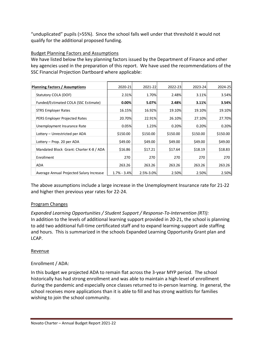"unduplicated" pupils (>55%). Since the school falls well under that threshold it would not qualify for the additional proposed funding.

# Budget Planning Factors and Assumptions

We have listed below the key planning factors issued by the Department of Finance and other key agencies used in the preparation of this report. We have used the recommendations of the SSC Financial Projection Dartboard where applicable:

| <b>Planning Factors / Assumptions</b>    | 2020-21         | 2021-22   | 2022-23  | 2023-24  | 2024-25  |
|------------------------------------------|-----------------|-----------|----------|----------|----------|
| Statutory COLA (DOF)                     | 2.31%           | 1.70%     | 2.48%    | 3.11%    | 3.54%    |
| Funded/Estimated COLA (SSC Estimate)     | 0.00%           | 5.07%     | 2.48%    | 3.11%    | 3.54%    |
| <b>STRS Employer Rates</b>               | 16.15%          | 16.92%    | 19.10%   | 19.10%   | 19.10%   |
| PERS Employer Projected Rates            | 20.70%          | 22.91%    | 26.10%   | 27.10%   | 27.70%   |
| Unemployment Insurance Rate              | 0.05%           | 1.23%     | 0.20%    | 0.20%    | 0.20%    |
| Lottery - Unrestricted per ADA           | \$150.00        | \$150.00  | \$150.00 | \$150.00 | \$150.00 |
| Lottery - Prop. 20 per ADA               | \$49.00         | \$49.00   | \$49.00  | \$49.00  | \$49.00  |
| Mandated Block Grant: Charter K-8 / ADA  | \$16.86         | \$17.21   | \$17.64  | \$18.19  | \$18.83  |
| Enrollment                               | 270             | 270       | 270      | 270      | 270      |
| ADA                                      | 263.26          | 263.26    | 263.26   | 263.26   | 263.26   |
| Average Annual Projected Salary Increase | $1.7\% - 3.4\%$ | 2.5%-3.0% | 2.50%    | 2.50%    | 2.50%    |

The above assumptions include a large increase in the Unemployment Insurance rate for 21‐22 and higher then previous year rates for 22‐24.

# Program Changes

*Expanded Learning Opportunities / Student Support / Response‐To‐Intervention (RTI):*  In addition to the levels of additional learning support provided in 20‐21, the school is planning to add two additional full-time certificated staff and to expand learning-support aide staffing and hours. This is summarized in the schools Expanded Learning Opportunity Grant plan and LCAP.

# Revenue

# Enrollment / ADA:

In this budget we projected ADA to remain flat across the 3‐year MYP period. The school historically has had strong enrollment and was able to maintain a high‐level of enrollment during the pandemic and especially once classes returned to in‐person learning. In general, the school receives more applications than it is able to fill and has strong waitlists for families wishing to join the school community.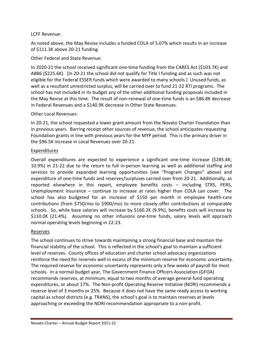# LCFF Revenue:

As noted above, the May Revise includes a funded COLA of 5.07% which results in an increase of \$111.3K above 20‐21 funding.

Other Federal and State Revenue:

In 2020‐21 the school received significant one‐time funding from the CARES Act (\$103.7K) and AB86 (\$225.6K). [In 20-21 the school did not qualify for Title I funding and as such was not eligible for the Federal ESSER funds which were awarded to many schools.] Unused funds, as well as a resultant unrestricted surplus, will be carried over to fund 21‐22 RTI programs. The school has not included in its budget any of the other additional funding proposals included in the May Revise at this time. The result of non‐renewal of one‐time funds is an \$86.8K decrease in Federal Revenues and a \$140.9K decrease in Other State Revenues.

Other Local Revenues:

In 20-21, the school requested a lower grant amount from the Novato Charter Foundation than in previous years. Barring receipt other sources of revenue, the school anticipates requesting Foundation grants in line with previous years for the MYP period. This is the primary driver in the \$96.5K increase in Local Revenues over 20‐21.

# Expenditures

Overall expenditures are expected to experience a significant one‐time increase (\$285.4K; 10.9%) in 21‐22 due to the return to full in‐person learning as well as additional staffing and services to provide expanded learning opportunities (see "Program Changes" above) and expenditure of one-time funds and reserves/surpluses carried over from 20-21. Additionally, as reported elsewhere in this report, employee benefits costs – including STRS, PERS, Unemployment Insurance – continue to increase at rates higher than COLA can cover. The school has also budgeted for an increase of \$150 per month in employee health‐care contributions (from \$750/mo to \$900/mo) to more closely offer contributions at comparable schools. So, while base salaries will increase by \$160.2K (9.9%), benefits costs will increase by \$110.0K (21.4%). Assuming no other infusions one-time funds, salary levels will approach normal operating levels beginning in 22‐23.

# Reserves

The school continues to strive towards maintaining a strong financial base and maintain the financial stability of the school. This is reflected in the school's goal to maintain a sufficient level of reserves. County offices of education and charter school advocacy organizations reinforce the need for reserves well in excess of the minimum reserve for economic uncertainty. The required reserve for economic uncertainty represents only a few weeks of payroll for most schools. In a normal budget year, The Government Finance Officers Association (GFOA) recommends reserves, at minimum, equal to two months of average general fund operating expenditures, or about 17%. The Non-profit Operating Reserve Initiative (NORI) recommends a reserve level of 3 months or 25%. Because it does not have the same ready access to working capital as school districts (e.g. TRANS), the school's goal is to maintain reserves at levels approaching or exceeding the NORI recommendation appropriate to a non‐profit.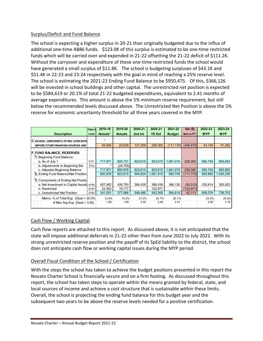# Surplus/Deficit and Fund Balance

The school is expecting a higher surplus in 20‐21 than originally budgeted due to the influx of additional one-time AB86 funds. \$123.0K of this surplus is estimated to be one-time restricted funds which will be carried over and expended in 21‐22 offsetting the 21‐22 deficit of \$111.2K. Without the carryover and expenditure of these one-time restricted funds the school would have generated a small surplus of \$11.8K. The school is budgeting surpluses of \$43.1K and \$51.4K in 22‐23 and 23‐24 respectively with the goal in mind of reaching a 25% reserve level. The school is estimating the 2021‐22 Ending Fund Balance to be \$950,475. Of this, \$366,126 will be invested in school buildings and other capital. The unrestricted net position is expected to be \$584,619 or 20.1% of total 21‐22 budgeted expenditures, equivalent to 2.41 months of average expenditures. This amount is above the 5% minimum reserve requirement, but still below the recommended levels discussed above. The Unrestricted Net Position is above the 5% reserve for economic uncertainty threshold for all three years covered in the MYP.

|                                          | <b>Object</b> | 2018-19  | 2019-20        | 2020-21 | 2020-21       | 2021-22       | Var (\$)         | 2022-23    | 2023-24    |
|------------------------------------------|---------------|----------|----------------|---------|---------------|---------------|------------------|------------|------------|
| <b>Description</b>                       | Code          | Actuals* | <b>Actuals</b> | 2nd Int | <b>YE Est</b> | <b>Budget</b> | <b>Bud vs PY</b> | <b>MYP</b> | <b>MYP</b> |
|                                          |               |          |                |         |               |               |                  |            |            |
| C EXCESS / (DEFICIENCY) OF REV OVER EXPE |               | $\star$  |                |         |               |               |                  |            |            |
| BEFORE OTHER FINANCING SOURCES AND       |               | 83,005   | 22,639         | 121,309 | 238,300       | (111, 170)    | (349, 470)       | 43,148     | 51,362     |
|                                          |               |          |                |         |               |               |                  |            |            |
| <b>F. FUND BALANCE, RESERVES</b>         |               |          |                |         |               |               |                  |            |            |
| 1. Beginning Fund Balance                |               |          |                |         |               |               |                  |            |            |
| a. As of July 1                          | 9791          | 717.971  | 825,731        | 823,615 | 823.615       | 1,061,915     | 238,300          | 950.745    | 993,893    |
| b. Adjustments to Beginning Bal          | 97xx          |          | (24, 755)      |         |               |               |                  |            |            |
| c. Adjusted Beginning Balance            |               | 717,971  | 800,976        | 823,615 | 823,615       | 1,061,915     | 238,300          | 950,745    | 993,893    |
| 2. Ending Fund Balance/Net Position.     |               | 800.976  | 823.615        | 944.924 | 1.061.915     | 950,745       | (111.170)        | 993,893    | 1,045,255  |
| 3. Components of Ending Net Positio      |               |          |                |         |               |               |                  |            |            |
| a. Net Investment in Capital Assets      | 9796          | 457,062  | 426,750        | 396,438 | 396,438       | 366,126       | (30, 312)        | 335,814    | 305,502    |
| b. Restricted                            | 9797          | 23,363   | 19,177         |         | 122,971       | Ξ.            | (122, 971)       |            |            |
| c. Unrestricted Net Position             | 9790          | 341,551  | 377,688        | 548,486 | 542,506       | 584,619       | 42,113           | 658,079    | 739,753    |
| Memo: % of Total Exp $[Goa] > 25.0\%$    |               | 13.8%    | 15.0%          | 21.0%   | 20.7%         | 20.1%         |                  | 23.5%      | 25.9%      |
| # Mos Avg Exp $[Goal > 3.00]$            |               | 1.65     | 1.80           | 2.52    | 2.48          | 2.41          |                  | 2.82       | 3.10       |

# Cash Flow / Working Capital

Cash flow reports are attached to this report. As discussed above, it is not anticipated that the state will impose additional deferrals in 21‐22 other then from June 2022 to July 2022. With its strong unrestricted reserve position and the payoff of its SpEd liability to the district, the school does not anticipate cash flow or working capital issues during the MYP period.

# Overall Fiscal Condition of the School / Certification

With the steps the school has taken to achieve the budget positions presented in this report the Novato Charter School is financially secure and on a firm footing. As discussed throughout this report, the school has taken steps to operate within the means granted by federal, state, and local sources of income and achieve a cost structure that is sustainable within these limits. Overall, the school is projecting the ending fund balance for this budget year and the subsequent two years to be above the reserve levels needed for a positive certification.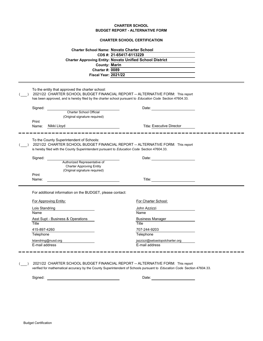### **CHARTER SCHOOL BUDGET REPORT - ALTERNATIVE FORM**

|  | <b>CHARTER SCHOOL CERTIFICATION</b> |
|--|-------------------------------------|
|  |                                     |

|                | <b>Charter School Name: Novato Charter School</b><br><b>County: Marin</b><br><b>Charter #: 0089</b><br><b>Fiscal Year: 2021/22</b>      | CDS #: 21-65417-6113229<br><b>Charter Approving Entity: Novato Unified School District</b>                                                                                                                 |  |
|----------------|-----------------------------------------------------------------------------------------------------------------------------------------|------------------------------------------------------------------------------------------------------------------------------------------------------------------------------------------------------------|--|
|                | To the entity that approved the charter school:                                                                                         | 2021/22 CHARTER SCHOOL BUDGET FINANCIAL REPORT -- ALTERNATIVE FORM: This report<br>has been approved, and is hereby filed by the charter school pursuant to Education Code Section 47604.33.               |  |
| Signed:        | Charter School Official<br>(Original signature required)                                                                                | Date:                                                                                                                                                                                                      |  |
| Print<br>Name: | Nikki Lloyd                                                                                                                             | Title: Executive Director                                                                                                                                                                                  |  |
|                | To the County Superintendent of Schools:<br>is hereby filed with the County Superintendent pursuant to Education Code Section 47604.33. | 2021/22 CHARTER SCHOOL BUDGET FINANCIAL REPORT -- ALTERNATIVE FORM: This report                                                                                                                            |  |
| Signed:        | Authorized Representative of<br><b>Charter Approving Entity</b><br>(Original signature required)                                        | Date:                                                                                                                                                                                                      |  |
| Print<br>Name: |                                                                                                                                         | Title: ____________________________                                                                                                                                                                        |  |
|                | For additional information on the BUDGET, please contact:                                                                               |                                                                                                                                                                                                            |  |
|                | For Approving Entity:                                                                                                                   | For Charter School:                                                                                                                                                                                        |  |
| Lois Standring |                                                                                                                                         | John Azzizzi                                                                                                                                                                                               |  |
| Name           |                                                                                                                                         | Name                                                                                                                                                                                                       |  |
| Title          | Asst Supt - Business & Operations                                                                                                       | Business Manager<br>Title                                                                                                                                                                                  |  |
| 415-897-4260   |                                                                                                                                         | 707-244-9203                                                                                                                                                                                               |  |
| Telephone      |                                                                                                                                         | Telephone                                                                                                                                                                                                  |  |
| E-mail address | lstandring@nusd.org                                                                                                                     | jazzizzi@sebastopolcharter.org<br>E-mail address                                                                                                                                                           |  |
|                |                                                                                                                                         | 2021/22 CHARTER SCHOOL BUDGET FINANCIAL REPORT -- ALTERNATIVE FORM: This report<br>verified for mathematical accuracy by the County Superintendent of Schools pursuant to Education Code Section 47604.33. |  |

Signed: Date: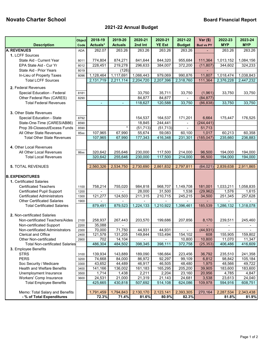# **Novato Charter School Board Financial Report**

# **2021-22 Annual Budget**

|                                                             | Object       | 2018-19          | 2019-20        | 2020-21   | 2020-21       | 2021-22       | $Var($)$         | 2022-23                   | 2023-24    |
|-------------------------------------------------------------|--------------|------------------|----------------|-----------|---------------|---------------|------------------|---------------------------|------------|
| <b>Description</b>                                          | Code         | Actuals*         | <b>Actuals</b> | 2nd Int   | <b>YE Est</b> | <b>Budget</b> | <b>Bud vs PY</b> | <b>MYP</b>                | <b>MYP</b> |
| <b>A. REVENUES</b>                                          | <b>ADA</b>   | 262.07           | 263.26         | 263.26    | 263.26        | 263.26        |                  | 263.26                    | 263.26     |
| 1. LCFF Sources                                             |              |                  |                |           |               |               |                  |                           |            |
| State Aid - Current Year                                    | 8011         | 774,804          | 874,271        | 841,644   | 844,320       | 955,684       | 111,364          | 1,013,152                 | 1,084,156  |
| EPA State Aid - Cur Yr                                      | 8012         | 228,451          | 219,278        | 296,633   | 384,007       | 372,200       | (11, 807)        | 344,602                   | 324,233    |
| State Aid - Prior Years                                     | 8019         |                  | (126)          |           |               |               |                  |                           |            |
| In-Lieu of Property Taxes                                   | 8096         | 1,128,464        | 1,117,691      | 1,066,443 | 979,069       | 990,876       | 11,807           | 1,018,474                 | 1,038,843  |
| <b>Total LCFF Sources</b>                                   |              | 2,131,719        | 2,211,114      | 2,204,720 | 2,207,396     | 2,318,760     | 111,364          | 2,376,228                 | 2,447,232  |
| 2. Federal Revenues                                         |              |                  |                |           |               |               |                  |                           |            |
| Special Education - Federal                                 | 8181         |                  |                | 33,750    | 35,711        | 33,750        | (1,961)          | 33,750                    | 33,750     |
| Other Federal Rev (CARES)                                   | 8290         |                  |                | 84,877    | 84,877        |               | (84, 877)        |                           |            |
| <b>Total Federal Revenues</b>                               |              | $\blacksquare$   | ÷.             | 118,627   | 120,588       | 33,750        | (86, 838)        | 33,750                    | 33,750     |
|                                                             |              |                  |                |           |               |               |                  |                           |            |
| 3. Other State Revenues<br>Special Education - State        | 8792         |                  |                | 154,537   | 164,537       |               | 6,664            |                           | 176,525    |
| State-One-Time (CARES/AB86)                                 | 8590         |                  |                | 18,845    | 244,441       | 171,201       | (244, 441)       | 175,447                   |            |
| Prop 39-Closeout/Excess Funds                               | 8590         |                  | $\star$        | (51, 713) | (51, 713)     | $\sim$        | 51,713           |                           |            |
| All Other State Revenues                                    | 85xx         | 107,965          | 67,990         | 55,674    | 59,083        | 60,100        | 1,017            | 60,213                    | 60,358     |
| <b>Total Other State Revenues</b>                           |              | 107,965          | 67,990         | 177,343   | 416,348       | 231,301       | (185, 047)       | 235,660                   | 236,883    |
|                                                             |              |                  |                |           |               |               |                  |                           |            |
| 4. Other Local Revenues                                     |              |                  |                |           |               |               |                  |                           |            |
| All Other Local Revenues                                    | 86xx         | 320,642          | 255,646        | 230,000   | 117,500       | 214,000       | 96,500           | 194,000                   | 194,000    |
| <b>Total Local Revenues</b>                                 |              | 320,642          | 255,646        | 230,000   | 117,500       | 214,000       | 96,500           | 194,000                   | 194,000    |
|                                                             |              |                  |                |           |               |               |                  |                           |            |
| <b>5. TOTAL REVENUES</b>                                    |              | 2,560,326        | 2,534,750      | 2,730,690 | 2,861,832     | 2,797,811     | (64, 021)        | 2,839,638                 | 2,911,865  |
| <b>B. EXPENDITURES</b>                                      |              |                  |                |           |               |               |                  |                           |            |
| 1. Certificated Salaries                                    |              |                  |                |           |               |               |                  |                           |            |
| <b>Certificated Teachers</b>                                | 1100         | 758,214          | 755,020        | 984,818   | 968,707       | 1,149,708     | 181,001          | 1,033,211                 | 1,058,835  |
| <b>Certificated Pupil Support</b>                           | 1200         |                  |                | 28,000    | 31,500        | 1,538         | (29, 962)        | 1,576                     | 1,615      |
| <b>Certificated Administrators</b>                          | 1300         | 121,277          | 124,503        | 211,315   | 210,715       | 245,215       | 34,500           | 251,345                   | 257,628    |
| <b>Other Certificated Salaries</b>                          | 1900         |                  |                |           |               |               |                  |                           |            |
| <b>Total Certificated Salaries</b>                          |              | 879,491          | 879,523        | 1,224,133 | 1,210,922     | 1,396,461     | 185,539          | 1,286,132                 | 1,318,078  |
|                                                             |              |                  |                |           |               |               |                  |                           |            |
| 2. Non-certificated Salaries                                |              |                  |                |           |               |               |                  |                           |            |
| Non-certificated Teachers/Aides                             | 2100         | 258,937          | 267,443        | 203,570   | 199,686       | 207,856       | 8,170            | 239,511                   | 245,460    |
| Non-certificated Support<br>Non-certificated Administrators | 2200         | 35,088<br>70,000 | 71,750         | 44,931    | 44,931        |               | (44, 931)        |                           |            |
| <b>Clerical and Office</b>                                  | 2300<br>2400 | 121,578          | 131,205        | 149,844   | 153,494       | 154,102       | 608              | $\blacksquare$<br>155,905 | 159,802    |
| Other Non-certificated                                      | 2900         | 702              | 14,104         |           |               | 10,800        | 10,800           | 11,070                    | 11,347     |
| <b>Total Non-certificated Salaries</b>                      |              | 486,304          | 484,502        | 398,345   | 398,111       | 372,758       | (25, 353)        | 406,486                   | 416,609    |
| 3. Employee Benefits                                        |              |                  |                |           |               |               |                  |                           |            |
| <b>STRS</b>                                                 | 3100         | 139,934          | 143,889        | 189,090   | 186,664       | 223,456       | 36,792           | 235,510                   | 241,358    |
| <b>PERS</b>                                                 | 3200         | 74,668           | 84,000         | 86,972    | 92,297        | 99,109        | 6,812            | 98,842                    | 105,184    |
| Soc Security / Medicare                                     | 3300         | 43,652           | 44,489         | 46,917    | 46,505        | 48,480        | 1,975            | 48,566                    | 49,722     |
| Health and Welfare Benefits                                 | 3400         | 141,166          | 136,002        | 161,183   | 165,295       | 205,200       | 39,905           | 183,600                   | 183,600    |
| Unemployment Insurance                                      | 3500         | 1,714            | 1,438          | 2,211     | 2,204         | 23,160        | 20,956           | 4,785                     | 4,847      |
| <b>Workers' Comp Insurance</b>                              | 3600         | 24,531           | 21,000         | 21,319    | 21,143        | 24,681        | 3,538            | 23,613                    | 24,040     |
| <b>Total Employee Benefits</b>                              |              | 425,665          | 430,818        | 507,692   | 514,108       | 624,086       | 109,978          | 594,916                   | 608,751    |
| Memo: Total Salary and Benefits                             |              | 1,791,459        | 1,794,843      | 2,130,170 | 2,123,141     | 2,393,305     | 270,164          | 2,287,534                 | 2,343,438  |
| - % of Total Expenditures                                   |              | 72.3%            | 71.4%          | 81.6%     | 80.9%         | 82.3%         |                  | 81.8%                     | 81.9%      |
|                                                             |              |                  |                |           |               |               |                  |                           |            |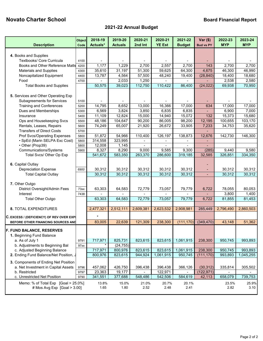# **Novato Charter School Board Financial Report**

# **2021-22 Annual Budget**

| <b>Description</b>                                                  | Object<br>Code | 2018-19<br>Actuals* | 2019-20<br><b>Actuals</b> | 2020-21<br>2nd Int | 2020-21<br><b>YE Est</b> | 2021-22<br><b>Budget</b> | $Var(\$)$<br><b>Bud vs PY</b> | 2022-23<br><b>MYP</b> | 2023-24<br><b>MYP</b> |
|---------------------------------------------------------------------|----------------|---------------------|---------------------------|--------------------|--------------------------|--------------------------|-------------------------------|-----------------------|-----------------------|
|                                                                     |                |                     |                           |                    |                          |                          |                               |                       |                       |
| 4. Books and Supplies                                               |                |                     |                           |                    |                          |                          |                               |                       |                       |
| Textbooks/ Core Curricula                                           | 4100           |                     |                           |                    |                          |                          |                               |                       |                       |
| Books and Other Reference Matls                                     | 4200           | 1,177               | 1,229                     | 2,700              | 2,557                    | 2,700                    | 143                           | 2,700                 | 2,700                 |
| <b>Materials and Supplies</b>                                       | 4300           | 35,610              | 31,197                    | 51,300             | 59,625                   | 64,300                   | 4,675                         | 46,300                | 46,990                |
| Noncapitalized Equipment                                            | 4400           | 13,787              | 4,564                     | 57,500             | 48,240                   | 19,400                   | (28, 840)                     | 18,400                | 18,680                |
| Food                                                                | 4700           |                     | 2,033                     | 1,250              |                          |                          |                               | 2,538                 | 2,580                 |
| <b>Total Books and Supplies</b>                                     |                | 50,575              | 39,023                    | 112,750            | 110,422                  | 86,400                   | (24, 022)                     | 69,938                | 70,950                |
| 5. Services and Other Operating Exp                                 |                |                     |                           |                    |                          |                          |                               |                       |                       |
| <b>Subagreements for Services</b>                                   | 5100           |                     |                           |                    |                          |                          |                               |                       |                       |
| <b>Training and Conferences</b>                                     | 5200           | 14,795              | 8,652                     | 13,000             | 16,366                   | 17,000                   | 634                           | 17,000                | 17,000                |
| Dues and Memberships                                                | 5300           | 6,569               | 3,824                     | 3,850              | 6,835                    | 6,835                    |                               | 6,900                 | 7,000                 |
| Insurance                                                           | 5400           | 11,109              | 12,824                    | 15,000             | 14,940                   | 15,072                   | 132                           | 15,373                | 15,680                |
| Ops and Housekeeping Svcs                                           | 5500           | 48,186              | 104,647                   | 90,200             | 86,005                   | 98,200                   | 12,195                        | 100,655               | 103,170               |
| Rentals, Leases, Repairs                                            | 5600           | 74,249              | 65,007                    | 21,920             | 26,672                   | 33,905                   | 7,233                         | 34,753                | 35,620                |
| <b>Transfers of Direct Costs</b>                                    | 5700           |                     |                           |                    |                          |                          |                               |                       |                       |
| Prof Svcs/Operating Expenses                                        | 5800           | 51,872              | 54,966                    | 110,400            | 126,197                  | 138,873                  | 12,676                        | 142,730               | 146,300               |
| · SpEd (Marin SELPA Exc Cost)                                       | 5800           | 314,558             | 323,995                   | $\blacksquare$     |                          | $\blacksquare$           | $\blacksquare$                |                       |                       |
| • Other (Prop39)                                                    | 5800           | 12,008              | 1,145                     | $\blacksquare$     | $\blacksquare$           |                          |                               |                       |                       |
| Communications/Systems                                              | 5900           | 8,327               | 8,290                     | 9,000              | 9,585                    | 9,300                    | (285)                         | 9,440                 | 9,580                 |
| Total Svcs/ Other Op Exp                                            |                | 541,672             | 583,350                   | 263,370            | 286,600                  | 319,185                  | 32,585                        | 326,851               | 334,350               |
|                                                                     |                |                     |                           |                    |                          |                          |                               |                       |                       |
| 6. Capital Outlay                                                   |                |                     |                           |                    |                          |                          |                               |                       |                       |
| <b>Depreciation Expense</b>                                         | 6900           | 30,312              | 30,312                    | 30,312             | 30,312                   | 30,312                   |                               | 30,312                | 30,312                |
| <b>Total Capital Outlay</b>                                         |                | 30,312              | 30,312                    | 30,312             | 30,312                   | 30,312                   | $\blacksquare$                | 30,312                | 30,312                |
|                                                                     |                |                     |                           |                    |                          |                          |                               |                       |                       |
| 7. Other Outgo                                                      |                |                     |                           |                    |                          |                          |                               |                       |                       |
| District Oversight/Admin Fees                                       | 73xx           | 63,303              | 64,583                    | 72,779             | 73,057                   | 79,779                   | 6,722                         | 78,055                | 80,053                |
| Interest                                                            | 7438           |                     |                           |                    |                          |                          |                               | 3,800                 | 1,400                 |
| <b>Total Other Outgo</b>                                            |                | 63,303              | 64,583                    | 72,779             | 73,057                   | 79,779                   | 6,722                         | 81,855                | 81,453                |
| <b>8. TOTAL EXPENDITURES</b>                                        |                | 2,477,321           | 2,512,111                 | 2,609,381          | 2,623,532                | 2,908,981                | 285,449                       | 2,796,490             | 2,860,503             |
|                                                                     |                |                     |                           |                    |                          |                          |                               |                       |                       |
| C. EXCESS / (DEFICIENCY) OF REV OVER EXPI                           |                | $\star$             |                           |                    |                          |                          |                               |                       |                       |
| BEFORE OTHER FINANCING SOURCES AND                                  |                | 83,005              | 22,639                    | 121,309            | 238,300                  | (111, 170)               | (349, 470)                    | 43,148                | 51,362                |
| <b>F. FUND BALANCE, RESERVES</b>                                    |                |                     |                           |                    |                          |                          |                               |                       |                       |
| 1. Beginning Fund Balance                                           |                |                     |                           |                    |                          |                          |                               |                       |                       |
| a. As of July 1                                                     | 9791           | 717,971             | 825,731                   | 823,615            | 823,615                  | 1,061,915                | 238,300                       | 950,745               | 993,893               |
| b. Adjustments to Beginning Bal                                     | 97xx           |                     | (24, 755)                 |                    |                          |                          |                               |                       |                       |
| c. Adjusted Beginning Balance                                       |                | 717,971             | 800,976                   | 823,615            | 823,615                  | 1,061,915                | 238,300                       | 950,745               | 993,893               |
| 2. Ending Fund Balance/Net Position, .                              |                | 800,976             | 823,615                   | 944,924            | 1,061,915                | 950,745                  | (111, 170)                    | 993,893               | 1,045,255             |
|                                                                     |                |                     |                           |                    |                          |                          |                               |                       |                       |
| 3. Components of Ending Net Position                                |                |                     |                           |                    |                          |                          |                               |                       |                       |
| a. Net Investment in Capital Assets                                 | 9796           | 457,062             | 426,750                   | 396,438            | 396,438                  | 366,126                  | (30, 312)                     | 335,814               | 305,502               |
| b. Restricted<br>c. Unrestricted Net Position                       | 9797<br>9790   | 23,363<br>341,551   | 19,177<br>377,688         | 548,486            | 122,971<br>542,506       | 584,619                  | (122, 971)<br>42,113          | 658,079               | 739,753               |
|                                                                     |                |                     |                           |                    |                          |                          |                               |                       |                       |
| Memo: % of Total Exp [Goal > 25.0%]<br># Mos Avg Exp $[Goa] > 3.00$ |                | 13.8%<br>1.65       | 15.0%<br>1.80             | 21.0%<br>2.52      | 20.7%<br>2.48            | 20.1%<br>2.41            |                               | 23.5%<br>2.82         | 25.9%<br>3.10         |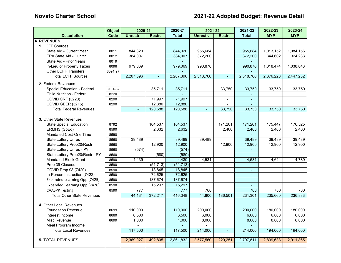|                                   | <b>Object</b> | 2020-21   |                | 2020-21      | 2021-22        |                          | 2021-22                     | 2022-23                  | 2023-24        |
|-----------------------------------|---------------|-----------|----------------|--------------|----------------|--------------------------|-----------------------------|--------------------------|----------------|
| <b>Description</b>                | Code          | Unrestr.  | Restr.         | <b>Total</b> | Unrestr.       | Restr.                   | <b>Total</b>                | <b>MYP</b>               | <b>MYP</b>     |
| <b>A. REVENUES</b>                |               |           |                |              |                |                          |                             |                          |                |
| 1. LCFF Sources                   |               |           |                |              |                |                          |                             |                          |                |
| State Aid - Current Year          | 8011          | 844,320   |                | 844,320      | 955,684        |                          | 955,684                     | 1,013,152                | 1,084,156      |
| EPA State Aid - Cur Yr            | 8012          | 384,007   |                | 384,007      | 372,200        |                          | 372,200                     | 344,602                  | 324,233        |
| State Aid - Prior Years           | 8019          |           |                |              |                |                          |                             |                          |                |
| In-Lieu of Property Taxes         | 8096          | 979,069   |                | 979,069      | 990,876        |                          | 990,876                     | 1,018,474                | 1,038,843      |
| <b>Other LCFF Transfers</b>       | 8091,97       |           |                |              |                |                          |                             |                          |                |
| <b>Total LCFF Sources</b>         |               | 2,207,396 | ц,             | 2,207,396    | 2,318,760      | ä,                       | 2,318,760                   | 2,376,228                | 2,447,232      |
| 2. Federal Revenues               |               |           |                |              |                |                          |                             |                          |                |
| Special Education - Federal       | 8181-82       |           | 35,711         | 35,711       |                | 33,750                   | 33,750                      | 33,750                   | 33,750         |
| <b>Child Nutrition - Federal</b>  | 8220          |           |                | L.           |                |                          |                             |                          |                |
| <b>COVID CRF (3220)</b>           | 8290          |           | 71,997         | 71,997       |                | $\overline{\phantom{a}}$ | $\blacksquare$              |                          |                |
| COVID GEER (3215)                 | 8290          |           | 12,880         | 12,880       |                | $\blacksquare$           | $\sim$                      |                          |                |
| <b>Total Federal Revenues</b>     |               | $\sim$    | 120,588        | 120,588      | $\blacksquare$ | 33,750                   | 33,750                      | 33,750                   | 33,750         |
|                                   |               |           |                |              |                |                          |                             |                          |                |
| 3. Other State Revenues           |               |           |                |              |                |                          |                             |                          |                |
| <b>State Special Education</b>    | 8792          |           | 164,537        | 164,537      |                | 171,201                  | 171,201                     | 175,447                  | 176,525        |
| ERMHS (SpEd)                      | 8590          |           | 2.632          | 2,632        |                | 2.400                    | 2,400                       | 2,400                    | 2,400          |
| Mandated Cost-One Time            | 8590          |           |                |              |                |                          |                             | $\overline{\phantom{0}}$ | $\blacksquare$ |
| <b>State Lottery Unres</b>        | 8560          | 39,489    |                | 39,489       | 39,489         |                          | 39,489                      | 39,489                   | 39,489         |
| State Lottery Prop20/Restr        | 8560          |           | 12,900         | 12,900       |                | 12,900                   | 12,900                      | 12,900                   | 12,900         |
| State Lottery Unres - PY          | 8560          | (574)     |                | (574)        |                |                          | $\omega$                    |                          |                |
| State Lottery Prop20/Restr - PY   | 8560          |           | (580)          | (580)        |                |                          |                             |                          |                |
| <b>Mandated Block Grant</b>       | 8590          | 4,439     |                | 4,439        | 4,531          |                          | 4,531                       | 4.644                    | 4,789          |
| Prop 39 Closeout                  | 8590          |           | (51, 713)      | (51, 713)    |                |                          | $\mathcal{L}^{\mathcal{A}}$ |                          |                |
| COVID Prop 98 (7420)              | 8590          |           | 18,845         | 18,845       |                |                          | $\blacksquare$              |                          |                |
| In-Person Instruction (7422)      | 8590          |           | 72,625         | 72,625       |                |                          | $\mathbf{r}$                |                          |                |
| Expanded Learning Opp (7425)      | 8590          |           | 137,674        | 137,674      |                |                          |                             |                          |                |
| Expanded Learning Opp (7426)      | 8590          |           | 15,297         | 15,297       |                |                          | $\omega$                    |                          |                |
| <b>CAASPP Testing</b>             | 8590          | 777       |                | 777          | 780            |                          | 780                         | 780                      | 780            |
| <b>Total Other State Revenues</b> |               | 44,131    | 372,217        | 416,348      | 44,800         | 186,501                  | 231,301                     | 235,660                  | 236,883        |
|                                   |               |           |                |              |                |                          |                             |                          |                |
| 4. Other Local Revenues           |               |           |                |              |                |                          |                             |                          |                |
| <b>Foundation Revenue</b>         | 8699          | 110,000   |                | 110,000      | 200,000        |                          | 200,000                     | 180,000                  | 180,000        |
| Interest Income                   | 8660          | 6,500     |                | 6,500        | 6,000          |                          | 6,000                       | 6,000                    | 6,000          |
| Misc Revenue                      | 8699          | 1,000     |                | 1,000        | 8,000          |                          | 8,000                       | 8,000                    | 8,000          |
| Meal Program Income               |               |           |                |              |                |                          |                             |                          |                |
| <b>Total Local Revenues</b>       |               | 117,500   | $\blacksquare$ | 117,500      | 214,000        |                          | 214,000                     | 194,000                  | 194,000        |
|                                   |               |           |                |              |                |                          |                             |                          |                |
| <b>5. TOTAL REVENUES</b>          |               | 2,369,027 | 492.805        | 2,861,832    | 2,577,560      | 220,251                  | 2,797,811                   | 2,839,638                | 2,911,865      |
|                                   |               |           |                |              |                |                          |                             |                          |                |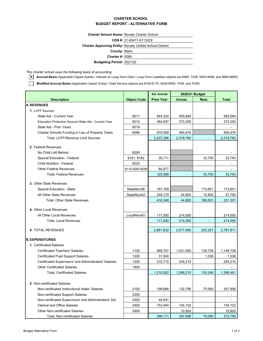#### **CHARTER SCHOOL BUDGET REPORT - ALTERNATIVE FORM**

**Charter School Name:** Novato Charter School

**CDS #:** 21-65417-6113229

**Charter Approving Entity:** Novato Unified School District

**County:** Marin

**Charter #:** 0089

2021/22 **Budgeting Period:**

*This charter school uses the following basis of accounting:*

Г

**X Accrual Basis** (Applicable Capital Assets / Interest on Long-Term Debt / Long-Term Liabilities objects are 6900, 7438, 9400-9499, and 9660-9669)

**Modified Accrual Basis** (Applicable Capital Outlay / Debt Service objects are 6100-6170, 6200-6500, 7438, and 7439)

|                                                              |                    | <b>Est. Actuals</b> | 2020/21 Budget |         |                              |
|--------------------------------------------------------------|--------------------|---------------------|----------------|---------|------------------------------|
| <b>Description</b>                                           | <b>Object Code</b> | <b>Prior Year</b>   | Unrest.        | Rest.   | Total                        |
| <b>A. REVENUES</b>                                           |                    |                     |                |         |                              |
| 1. LCFF Sources                                              |                    |                     |                |         |                              |
| State Aid - Current Year                                     | 8011               | 844,320             | 955,684        |         | 955,684                      |
| <b>Education Protection Account State Aid - Current Year</b> | 8012               | 384,007             | 372,200        |         | 372,200                      |
| State Aid - Prior Years                                      | 8019               |                     |                |         |                              |
| Charter Schools Funding in Lieu of Property Taxes            | 8096               | 979,069             | 990,876        |         | 990,876                      |
| Total, LCFF/Revenue Limit Sources                            |                    | 2,207,396           | 2,318,760      |         | 2,318,760                    |
| 2. Federal Revenues                                          |                    |                     |                |         |                              |
| No Child Left Behind                                         | 8290               |                     |                |         |                              |
| Special Education - Federal                                  | 8181, 8182         | 35,711              |                | 33,750  | 33,750                       |
| <b>Child Nutrition - Federal</b>                             | 8220               |                     |                |         |                              |
| <b>Other Federal Revenues</b>                                | 8110,8260-8299     | 84,877              |                |         |                              |
| <b>Total, Federal Revenues</b>                               |                    | 120,588             |                | 33,750  | 33,750                       |
| 3. Other State Revenues                                      |                    |                     |                |         |                              |
| Special Education - State                                    | <b>StateRevSE</b>  | 167,169             |                | 173,601 | 173,601                      |
| All Other State Revenues                                     | <b>StateRevAO</b>  | 249,179             | 44,800         | 12,900  | 57,700                       |
| Total, Other State Revenues                                  |                    | 416,348             | 44,800         | 186,501 | 231,301                      |
|                                                              |                    |                     |                |         |                              |
| 4. Other Local Revenues                                      |                    |                     |                |         |                              |
| All Other Local Revenues                                     | LocalRevAO         | 117,500             | 214,000        |         | 214,000                      |
| <b>Total, Local Revenues</b>                                 |                    | 117,500             | 214,000        |         | 214,000                      |
| <b>5. TOTAL REVENUES</b>                                     |                    | 2,861,832           | 2,577,560      | 220,251 | 2,797,811                    |
| <b>B. EXPENDITURES</b>                                       |                    |                     |                |         |                              |
| 1. Certificated Salaries                                     |                    |                     |                |         |                              |
| <b>Certificated Teachers' Salaries</b>                       | 1100               | 968,707             | 1,021,000      | 128,708 | 1,149,708                    |
| <b>Certificated Pupil Support Salaries</b>                   | 1200               | 31,500              |                | 1,538   | 1,538                        |
| Certificated Supervisors' and Administrators' Salaries       | 1300               | 210,715             | 245,215        |         | 245,215                      |
| <b>Other Certificated Salaries</b>                           | 1900               |                     |                |         |                              |
| <b>Total, Certificated Salaries</b>                          |                    | 1,210,922           | 1,266,215      | 130,246 | 1,396,461                    |
|                                                              |                    |                     |                |         |                              |
| 2. Non-certificated Salaries                                 |                    |                     |                |         |                              |
| Non-certificated Instructional Aides' Salaries               | 2100               | 199,686             | 132,796        | 75,060  | 207,856                      |
| Non-certificated Support Salaries                            | 2200               |                     |                |         | $\qquad \qquad \blacksquare$ |
| Non-certificated Supervisors' and Administrators' Sal.       | 2300               | 44,931              |                |         | $\overline{\phantom{a}}$     |
| <b>Clerical and Office Salaries</b>                          | 2400               | 153,494             | 154,102        |         | 154,102                      |
| <b>Other Non-certificated Salaries</b>                       | 2900               |                     | 10,800         |         | 10,800                       |
| Total, Non-certificated Salaries                             |                    | 398,111             | 297,698        | 75,060  | 372,758                      |

Budget Alternative Form 2008 1 of 3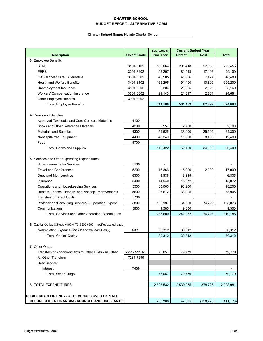### **CHARTER SCHOOL BUDGET REPORT - ALTERNATIVE FORM**

|                                                                          |                    | <b>Est. Actuals</b> | <b>Current Budget Year</b> |            |                          |
|--------------------------------------------------------------------------|--------------------|---------------------|----------------------------|------------|--------------------------|
| <b>Description</b>                                                       | <b>Object Code</b> | <b>Prior Year</b>   | Unrest.                    | Rest.      | <b>Total</b>             |
| 3. Employee Benefits                                                     |                    |                     |                            |            |                          |
| <b>STRS</b>                                                              | 3101-3102          | 186,664             | 201,418                    | 22,038     | 223,456                  |
| <b>PERS</b>                                                              | 3201-3202          | 92,297              | 81,913                     | 17,196     | 99,109                   |
| OASDI / Medicare / Alternative                                           | 3301-3302          | 46,505              | 41,006                     | 7,474      | 48,480                   |
| <b>Health and Welfare Benefits</b>                                       | 3401-3402          | 165,295             | 194,400                    | 10,800     | 205,200                  |
| Unemployment Insurance                                                   | 3501-3502          | 2,204               | 20,635                     | 2,525      | 23,160                   |
| <b>Workers' Compensation Insurance</b>                                   | 3601-3602          | 21,143              | 21,817                     | 2,864      | 24,681                   |
| Other Employee Benefits                                                  | 3901-3902          |                     |                            |            |                          |
| Total, Employee Benefits                                                 |                    | 514,108             | 561,189                    | 62,897     | 624,086                  |
|                                                                          |                    |                     |                            |            |                          |
| 4. Books and Supplies                                                    |                    |                     |                            |            |                          |
| Approved Textbooks and Core Curricula Materials                          | 4100               |                     |                            |            |                          |
| Books and Other Reference Materials                                      | 4200               | 2,557               | 2,700                      |            | 2,700                    |
| <b>Materials and Supplies</b>                                            | 4300               | 59,625              | 38,400                     | 25,900     | 64,300                   |
| Noncapitalized Equipment                                                 | 4400               | 48,240              | 11,000                     | 8,400      | 19,400                   |
| Food                                                                     | 4700               |                     |                            |            |                          |
| <b>Total, Books and Supplies</b>                                         |                    | 110,422             | 52,100                     | 34,300     | 86,400                   |
|                                                                          |                    |                     |                            |            |                          |
| 5. Services and Other Operating Expenditures                             |                    |                     |                            |            |                          |
| <b>Subagreements for Services</b>                                        | 5100               |                     |                            |            |                          |
| <b>Travel and Conferences</b>                                            | 5200               | 16,366              | 15,000                     | 2,000      | 17,000                   |
| Dues and Memberships                                                     | 5300               | 6,835               | 6,835                      |            | 6,835                    |
| Insurance                                                                | 5400               | 14,940              | 15,072                     |            | 15,072                   |
| Operations and Housekeeping Services                                     | 5500               | 86,005              | 98,200                     |            | 98,200                   |
| Rentals, Leases, Repairs, and Noncap. Improvements                       | 5600               | 26,672              | 33,905                     |            | 33,905                   |
| <b>Transfers of Direct Costs</b>                                         | 5700               |                     |                            |            |                          |
| Professional/Consulting Services & Operating Expend.                     | 5800               | 126,197             | 64,650                     | 74,223     | 138,873                  |
| Communications                                                           | 5900               | 9,585               | 9,300                      |            | 9,300                    |
| Total, Services and Other Operating Expenditures                         |                    | 286,600             | 242,962                    | 76,223     | 319,185                  |
|                                                                          |                    |                     |                            |            |                          |
| 6. Capital Outlay (Objects 6100-6170, 6200-6500 - modified accrual basis |                    |                     |                            |            |                          |
| Depreciation Expense (for full accrual basis only)                       | 6900               | 30,312              | 30,312                     |            | 30,312                   |
| Total, Capital Outlay                                                    |                    | 30,312              | 30,312                     |            | 30,312                   |
|                                                                          |                    |                     |                            |            |                          |
| 7. Other Outgo                                                           |                    |                     |                            |            |                          |
| Transfers of Apportionments to Other LEAs - All Other                    | 7221-7223AO        | 73,057              | 79,779                     |            | 79,779                   |
| All Other Transfers                                                      | 7281-7299          |                     |                            |            | L,                       |
| Debt Service:                                                            |                    |                     |                            |            |                          |
| Interest                                                                 | 7438               |                     |                            |            | $\overline{\phantom{0}}$ |
| Total, Other Outgo                                                       |                    | 73,057              | 79,779                     |            | 79,779                   |
|                                                                          |                    |                     |                            |            |                          |
| 8. TOTAL EXPENDITURES                                                    |                    | 2,623,532           | 2,530,255                  | 378,726    | 2,908,981                |
|                                                                          |                    |                     |                            |            |                          |
| <b>C. EXCESS (DEFICIENCY) OF REVENUES OVER EXPEND.</b>                   |                    |                     |                            |            |                          |
| BEFORE OTHER FINANCING SOURCES AND USES (A5-B8)                          |                    | 238,300             | 47,305                     | (158, 475) | (111, 170)               |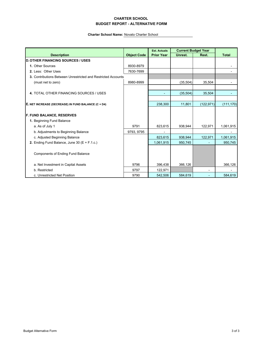### **CHARTER SCHOOL BUDGET REPORT - ALTERNATIVE FORM**

|                                                               |                    | <b>Est. Actuals</b> |           | <b>Current Budget Year</b> |              |
|---------------------------------------------------------------|--------------------|---------------------|-----------|----------------------------|--------------|
| <b>Description</b>                                            | <b>Object Code</b> | <b>Prior Year</b>   | Unrest.   | Rest.                      | <b>Total</b> |
| <b>D. OTHER FINANCING SOURCES / USES</b>                      |                    |                     |           |                            |              |
| 1. Other Sources                                              | 8930-8979          |                     |           |                            |              |
| 2. Less: Other Uses                                           | 7630-7699          |                     |           |                            |              |
| 3. Contributions Between Unrestricted and Restricted Accounts |                    |                     |           |                            |              |
| (must net to zero)                                            | 8980-8999          |                     | (35, 504) | 35,504                     |              |
|                                                               |                    |                     |           |                            |              |
| 4. TOTAL OTHER FINANCING SOURCES / USES                       |                    |                     | (35, 504) | 35,504                     |              |
| E. NET INCREASE (DECREASE) IN FUND BALANCE (C + D4)           |                    | 238,300             | 11,801    | (122, 971)                 | (111, 170)   |
|                                                               |                    |                     |           |                            |              |
| <b>F. FUND BALANCE, RESERVES</b>                              |                    |                     |           |                            |              |
| 1. Beginning Fund Balance                                     |                    |                     |           |                            |              |
| a. As of July 1                                               | 9791               | 823,615             | 938,944   | 122,971                    | 1,061,915    |
| b. Adjustments to Beginning Balance                           | 9793, 9795         |                     |           |                            |              |
| c. Adjusted Beginning Balance                                 |                    | 823,615             | 938,944   | 122,971                    | 1,061,915    |
| 2. Ending Fund Balance, June 30 ( $E + F.1.c.$ )              |                    | 1,061,915           | 950,745   |                            | 950,745      |
| <b>Components of Ending Fund Balance</b>                      |                    |                     |           |                            |              |
| a. Net Investment in Capital Assets                           | 9796               | 396,438             | 366,126   |                            | 366,126      |
| b. Restricted                                                 | 9797               | 122,971             |           |                            |              |
| c. Unrestricted Net Position                                  | 9790               | 542,506             | 584,619   |                            | 584,619      |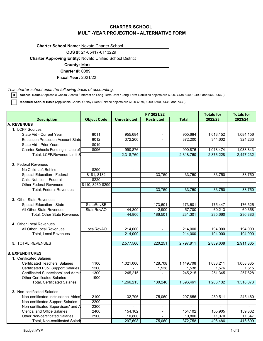# **CHARTER SCHOOL MULTI-YEAR PROJECTION - ALTERNATIVE FORM**

| <b>Charter School Name: Novato Charter School</b> |                                                                 |
|---------------------------------------------------|-----------------------------------------------------------------|
|                                                   | CDS #: 21-65417-6113229                                         |
|                                                   | <b>Charter Approving Entity: Novato Unified School District</b> |
| <b>County: Marin</b>                              |                                                                 |
| <b>Charter #: 0089</b>                            |                                                                 |
| <b>Fiscal Year: 2021/22</b>                       |                                                                 |

### *This charter school uses the following basis of accounting:*

**X Accrual Basis** (Applicable Capital Assets / Interest on Long-Term Debt / Long-Term Liabilities objects are 6900, 7438, 9400-9499, and 9660-9669)

**Modified Accrual Basis** (Applicable Capital Outlay / Debt Service objects are 6100-6170, 6200-6500, 7438, and 7439)

|                                                                            |                    |                     | FY 2021/22                       | <b>Totals for</b> | <b>Totals for</b> |                   |
|----------------------------------------------------------------------------|--------------------|---------------------|----------------------------------|-------------------|-------------------|-------------------|
| <b>Description</b>                                                         | <b>Object Code</b> | <b>Unrestricted</b> | <b>Restricted</b>                | <b>Total</b>      | 2022/23           | 2023/24           |
| <b>A. REVENUES</b>                                                         |                    |                     |                                  |                   |                   |                   |
| 1. LCFF Sources                                                            |                    |                     |                                  |                   |                   |                   |
| State Aid - Current Year                                                   | 8011               | 955,684             |                                  | 955,684           | 1,013,152         | 1,084,156         |
| <b>Education Protection Account State</b>                                  | 8012               | 372,200             | $\blacksquare$                   | 372,200           | 344,602           | 324,233           |
| State Aid - Prior Years                                                    | 8019               | $\sim$              |                                  |                   |                   |                   |
| Charter Schools Funding in Lieu of                                         | 8096               | 990,876             |                                  | 990,876           | 1,018,474         | 1,038,843         |
| Total, LCFF/Revenue Limit S                                                |                    | 2,318,760           | ω.                               | 2,318,760         | 2,376,228         | 2,447,232         |
|                                                                            |                    |                     |                                  |                   |                   |                   |
| 2. Federal Revenues                                                        |                    |                     |                                  |                   |                   |                   |
| No Child Left Behind                                                       | 8290               |                     |                                  |                   |                   |                   |
| Special Education - Federal                                                | 8181, 8182         | $\blacksquare$      | 33,750                           | 33,750            | 33,750            | 33,750            |
| <b>Child Nutrition - Federal</b>                                           | 8220               | $\blacksquare$      |                                  |                   |                   |                   |
| <b>Other Federal Revenues</b>                                              | 8110, 8260-8299    | $\blacksquare$      |                                  |                   |                   |                   |
| <b>Total, Federal Revenues</b>                                             |                    |                     | 33,750                           | 33,750            | 33,750            | 33,750            |
|                                                                            |                    |                     |                                  |                   |                   |                   |
| 3. Other State Revenues                                                    |                    |                     |                                  |                   |                   |                   |
| Special Education - State                                                  | StateRevSE         |                     | 173,601                          | 173,601           | 175,447           | 176,525           |
| All Other State Revenues                                                   | <b>StateRevAO</b>  | 44,800              | 12,900                           | 57,700            | 60,213            | 60,358            |
| <b>Total. Other State Revenues</b>                                         |                    | 44,800              | 186,501                          | 231,301           | 235,660           | 236,883           |
|                                                                            |                    |                     |                                  |                   |                   |                   |
| 4. Other Local Revenues                                                    |                    |                     |                                  |                   |                   |                   |
| All Other Local Revenues                                                   | LocalRevAO         | 214,000             |                                  | 214,000           | 194,000           | 194,000           |
| <b>Total, Local Revenues</b>                                               |                    | 214,000             |                                  | 214,000           | 194,000           | 194,000           |
|                                                                            |                    |                     |                                  |                   |                   |                   |
| <b>5. TOTAL REVENUES</b>                                                   |                    | 2,577,560           | 220,251                          | 2,797,811         | 2,839,638         | 2,911,865         |
|                                                                            |                    |                     |                                  |                   |                   |                   |
| <b>B. EXPENDITURES</b>                                                     |                    |                     |                                  |                   |                   |                   |
| 1. Certificated Salaries                                                   |                    |                     |                                  |                   |                   |                   |
| <b>Certificated Teachers' Salaries</b>                                     | 1100               | 1,021,000           | 128.708                          | 1,149,708         | 1.033.211         | 1.058.835         |
| <b>Certificated Pupil Support Salaries</b>                                 | 1200               |                     | 1,538                            | 1,538             | 1,576             | 1,615             |
| Certificated Supervisors' and Admir                                        | 1300               | 245,215             | $\blacksquare$                   | 245,215           | 251,345           | 257,628           |
| <b>Other Certificated Salaries</b>                                         | 1900               |                     | $\equiv$                         |                   |                   |                   |
| <b>Total, Certificated Salaries</b>                                        |                    | 1,266,215           | 130,246                          | 1,396,461         | 1,286,132         | 1,318,078         |
|                                                                            |                    |                     |                                  |                   |                   |                   |
| 2. Non-certificated Salaries                                               |                    |                     |                                  |                   |                   |                   |
| Non-certificated Instructional Aides                                       | 2100               | 132,796             | 75,060                           | 207,856           | 239,511           | 245,460           |
| Non-certificated Support Salaries                                          | 2200               | $\mathbf{r}$        | $\sim$                           | $\blacksquare$    | $\overline{a}$    | $\blacksquare$    |
| Non-certificated Supervisors' and A<br><b>Clerical and Office Salaries</b> | 2300               | $\mathbf{r}$        | $\blacksquare$                   |                   | $\mathbf{r}$      |                   |
| <b>Other Non-certificated Salaries</b>                                     | 2400<br>2900       | 154,102<br>10,800   | $\blacksquare$<br>$\blacksquare$ | 154,102<br>10,800 | 155,905<br>11,070 | 159,802<br>11,347 |
| Total, Non-certificated Salari                                             |                    | 297,698             | 75,060                           | 372,758           | 406,486           | 416,609           |
|                                                                            |                    |                     |                                  |                   |                   |                   |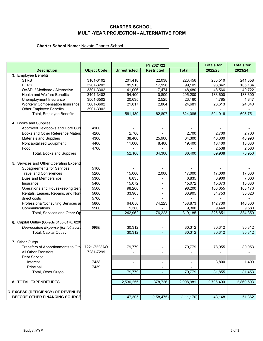# **CHARTER SCHOOL MULTI-YEAR PROJECTION - ALTERNATIVE FORM**

|                                           |                    | FY 2021/22          |                          |                | <b>Totals for</b> | <b>Totals for</b> |  |
|-------------------------------------------|--------------------|---------------------|--------------------------|----------------|-------------------|-------------------|--|
| <b>Description</b>                        | <b>Object Code</b> | <b>Unrestricted</b> | <b>Restricted</b>        | <b>Total</b>   | 2022/23           | 2023/24           |  |
| 3. Employee Benefits                      |                    |                     |                          |                |                   |                   |  |
| <b>STRS</b>                               | 3101-3102          | 201,418             | 22,038                   | 223,456        | 235,510           | 241,358           |  |
| <b>PERS</b>                               | 3201-3202          | 81,913              | 17,196                   | 99,109         | 98,842            | 105,184           |  |
| OASDI / Medicare / Alternative            | 3301-3302          | 41,006              | 7,474                    | 48,480         | 48,566            | 49,722            |  |
| <b>Health and Welfare Benefits</b>        | 3401-3402          | 194,400             | 10,800                   | 205,200        | 183,600           | 183,600           |  |
| Unemployment Insurance                    | 3501-3502          | 20,635              | 2,525                    | 23,160         | 4,785             | 4,847             |  |
| <b>Workers' Compensation Insurance</b>    | 3601-3602          | 21,817              | 2,864                    | 24,681         | 23,613            | 24,040            |  |
| Other Employee Benefits                   | 3901-3902          |                     |                          |                |                   |                   |  |
| Total, Employee Benefits                  |                    | 561,189             | 62,897                   | 624,086        | 594,916           | 608,751           |  |
|                                           |                    |                     |                          |                |                   |                   |  |
| 4. Books and Supplies                     |                    |                     |                          |                |                   |                   |  |
| Approved Textbooks and Core Cur           | 4100               |                     |                          |                |                   |                   |  |
| Books and Other Reference Materil         | 4200               | 2,700               |                          | 2,700          | 2,700             | 2,700             |  |
| <b>Materials and Supplies</b>             | 4300               | 38,400              | 25,900                   | 64,300         | 46,300            | 46,990            |  |
| Noncapitalized Equipment                  | 4400               | 11,000              | 8,400                    | 19,400         | 18,400            | 18,680            |  |
| Food                                      | 4700               |                     |                          |                | 2,538             | 2,580             |  |
| Total, Books and Supplies                 |                    | 52,100              | 34,300                   | 86,400         | 69,938            | 70,950            |  |
|                                           |                    |                     |                          |                |                   |                   |  |
| 5. Services and Other Operating Expend    |                    |                     |                          |                |                   |                   |  |
| <b>Subagreements for Services</b>         | 5100               |                     |                          |                |                   |                   |  |
| <b>Travel and Conferences</b>             | 5200               | 15,000              | 2,000                    | 17,000         | 17,000            | 17,000            |  |
| Dues and Memberships                      | 5300               | 6,835               | $\blacksquare$           | 6,835          | 6,900             | 7,000             |  |
| Insurance                                 | 5400               | 15,072              | $\blacksquare$           | 15,072         | 15,373            | 15,680            |  |
| Operations and Housekeeping Serv          | 5500               | 98,200              | $\blacksquare$           | 98,200         | 100,655           | 103,170           |  |
| Rentals, Leases, Repairs, and Non         | 5600               | 33,905              | $\overline{\phantom{a}}$ | 33,905         | 34,753            | 35,620            |  |
| direct costs                              | 5700               |                     |                          |                |                   |                   |  |
| Professional/Consulting Services a        | 5800               | 64,650              | 74,223                   | 138,873        | 142,730           | 146,300           |  |
| Communications                            | 5900               | 9,300               |                          | 9,300          | 9,440             | 9,580             |  |
| Total, Services and Other Op              |                    | 242,962             | 76,223                   | 319,185        | 326,851           | 334,350           |  |
|                                           |                    |                     |                          |                |                   |                   |  |
| 6. Capital Outlay (Objects 6100-6170, 620 |                    |                     |                          |                |                   |                   |  |
| Depreciation Expense (for full accru      | 6900               | 30,312              | $\blacksquare$           | 30,312         | 30,312            | 30,312            |  |
| <b>Total, Capital Outlay</b>              |                    | 30,312              | $\blacksquare$           | 30,312         | 30,312            | 30,312            |  |
| 7. Other Outgo                            |                    |                     |                          |                |                   |                   |  |
| Transfers of Apportionments to Oth        | 7221-7223AO        | 79,779              |                          | 79,779         | 78,055            | 80,053            |  |
| All Other Transfers                       | 7281-7299          |                     |                          |                |                   |                   |  |
| Debt Service:                             |                    |                     |                          |                |                   |                   |  |
| Interest                                  | 7438               | -                   | $\blacksquare$           | $\blacksquare$ | 3,800             | 1,400             |  |
| Principal                                 | 7439               |                     |                          |                |                   |                   |  |
| Total, Other Outgo                        |                    | 79,779              |                          | 79,779         | 81,855            |                   |  |
|                                           |                    |                     | $\blacksquare$           |                |                   | 81,453            |  |
| 8. TOTAL EXPENDITURES                     |                    | 2,530,255           | 378,726                  | 2,908,981      | 2,796,490         | 2,860,503         |  |
|                                           |                    |                     |                          |                |                   |                   |  |
| <b>C. EXCESS (DEFICIENCY) OF REVENUES</b> |                    |                     |                          |                |                   |                   |  |
| BEFORE OTHER FINANCING SOURCE             |                    | 47,305              | (158, 475)               | (111, 170)     | 43,148            | 51,362            |  |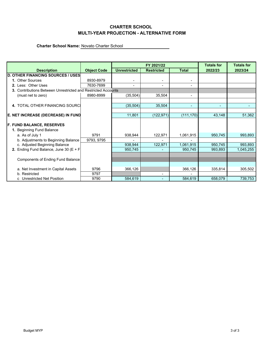# **CHARTER SCHOOL MULTI-YEAR PROJECTION - ALTERNATIVE FORM**

|                                                               |                    |                          | FY 2021/22        | <b>Totals for</b>            | <b>Totals for</b> |           |  |
|---------------------------------------------------------------|--------------------|--------------------------|-------------------|------------------------------|-------------------|-----------|--|
| <b>Description</b>                                            | <b>Object Code</b> | <b>Unrestricted</b>      | <b>Restricted</b> | <b>Total</b>                 | 2022/23           | 2023/24   |  |
| <b>D. OTHER FINANCING SOURCES / USES</b>                      |                    |                          |                   |                              |                   |           |  |
| 1. Other Sources                                              | 8930-8979          |                          |                   |                              |                   |           |  |
| 2. Less: Other Uses                                           | 7630-7699          | $\overline{\phantom{0}}$ |                   |                              |                   |           |  |
| 3. Contributions Between Unrestricted and Restricted Accounts |                    |                          |                   |                              |                   |           |  |
| (must net to zero)                                            | 8980-8999          | (35, 504)                | 35,504            | $\qquad \qquad \blacksquare$ |                   |           |  |
|                                                               |                    |                          |                   |                              |                   |           |  |
| 4. TOTAL OTHER FINANCING SOURCI                               |                    | (35, 504)                | 35,504            | $\overline{\phantom{0}}$     |                   |           |  |
|                                                               |                    |                          |                   |                              |                   |           |  |
| E. NET INCREASE (DECREASE) IN FUND                            |                    | 11,801                   | (122, 971)        | (111, 170)                   | 43,148            | 51,362    |  |
|                                                               |                    |                          |                   |                              |                   |           |  |
| <b>F. FUND BALANCE, RESERVES</b>                              |                    |                          |                   |                              |                   |           |  |
| 1. Beginning Fund Balance                                     |                    |                          |                   |                              |                   |           |  |
| a. As of July 1                                               | 9791               | 938,944                  | 122,971           | 1,061,915                    | 950,745           | 993,893   |  |
| b. Adjustments to Beginning Balance                           | 9793, 9795         |                          |                   |                              |                   |           |  |
| c. Adjusted Beginning Balance                                 |                    | 938,944                  | 122,971           | 1,061,915                    | 950,745           | 993,893   |  |
| 2. Ending Fund Balance, June 30 ( $E + F$                     |                    | 950,745                  |                   | 950,745                      | 993,893           | 1,045,255 |  |
|                                                               |                    |                          |                   |                              |                   |           |  |
| <b>Components of Ending Fund Balance</b>                      |                    |                          |                   |                              |                   |           |  |
|                                                               |                    |                          |                   |                              |                   |           |  |
| a. Net Investment in Capital Assets                           | 9796               | 366,126                  |                   | 366,126                      | 335,814           | 305,502   |  |
| b. Restricted                                                 | 9797               |                          |                   |                              |                   |           |  |
| c Unrestricted Net Position                                   | 9790               | 584,619                  |                   | 584,619                      | 658,079           | 739,753   |  |